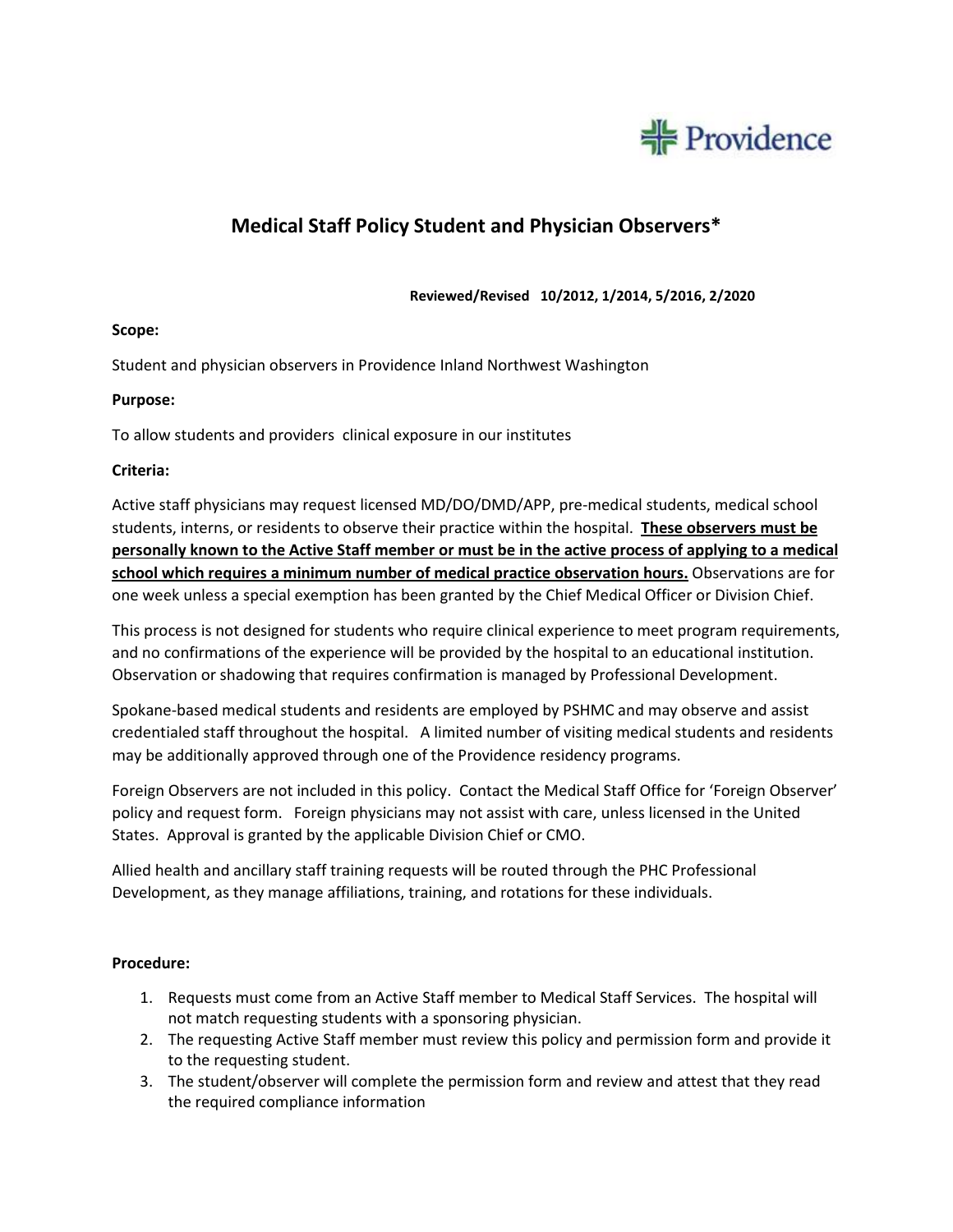

# **Medical Staff Policy Student and Physician Observers\***

 **Reviewed/Revised 10/2012, 1/2014, 5/2016, 2/2020**

#### **Scope:**

Student and physician observers in Providence Inland Northwest Washington

#### **Purpose:**

To allow students and providers clinical exposure in our institutes

#### **Criteria:**

Active staff physicians may request licensed MD/DO/DMD/APP, pre-medical students, medical school students, interns, or residents to observe their practice within the hospital. **These observers must be personally known to the Active Staff member or must be in the active process of applying to a medical school which requires a minimum number of medical practice observation hours.** Observations are for one week unless a special exemption has been granted by the Chief Medical Officer or Division Chief.

This process is not designed for students who require clinical experience to meet program requirements, and no confirmations of the experience will be provided by the hospital to an educational institution. Observation or shadowing that requires confirmation is managed by Professional Development.

Spokane-based medical students and residents are employed by PSHMC and may observe and assist credentialed staff throughout the hospital. A limited number of visiting medical students and residents may be additionally approved through one of the Providence residency programs.

Foreign Observers are not included in this policy. Contact the Medical Staff Office for 'Foreign Observer' policy and request form. Foreign physicians may not assist with care, unless licensed in the United States. Approval is granted by the applicable Division Chief or CMO.

Allied health and ancillary staff training requests will be routed through the PHC Professional Development, as they manage affiliations, training, and rotations for these individuals.

#### **Procedure:**

- 1. Requests must come from an Active Staff member to Medical Staff Services. The hospital will not match requesting students with a sponsoring physician.
- 2. The requesting Active Staff member must review this policy and permission form and provide it to the requesting student.
- 3. The student/observer will complete the permission form and review and attest that they read the required compliance information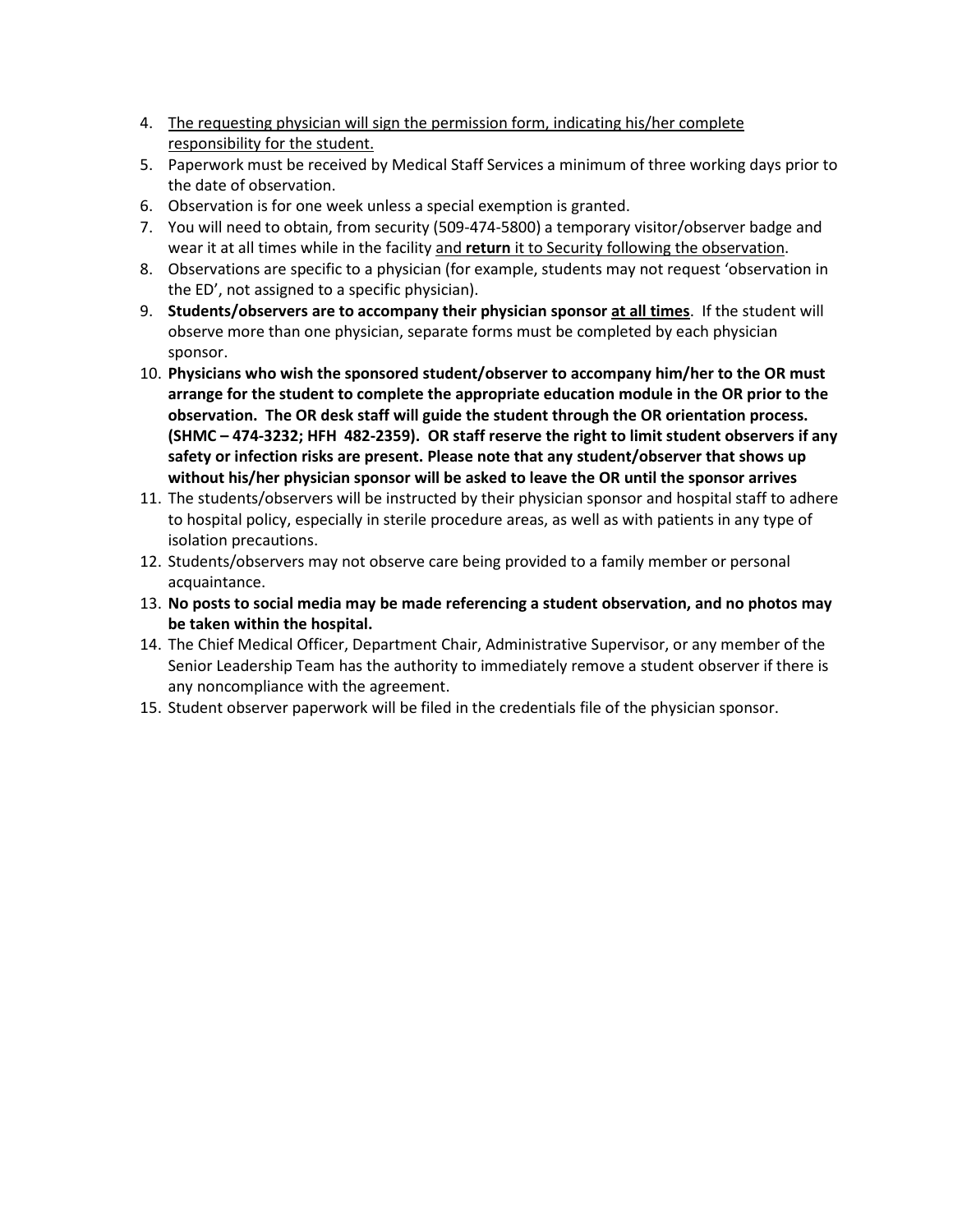- 4. The requesting physician will sign the permission form, indicating his/her complete responsibility for the student.
- 5. Paperwork must be received by Medical Staff Services a minimum of three working days prior to the date of observation.
- 6. Observation is for one week unless a special exemption is granted.
- 7. You will need to obtain, from security (509-474-5800) a temporary visitor/observer badge and wear it at all times while in the facility and **return** it to Security following the observation.
- 8. Observations are specific to a physician (for example, students may not request 'observation in the ED', not assigned to a specific physician).
- 9. **Students/observers are to accompany their physician sponsor at all times**. If the student will observe more than one physician, separate forms must be completed by each physician sponsor.
- 10. **Physicians who wish the sponsored student/observer to accompany him/her to the OR must arrange for the student to complete the appropriate education module in the OR prior to the observation. The OR desk staff will guide the student through the OR orientation process. (SHMC – 474-3232; HFH 482-2359). OR staff reserve the right to limit student observers if any safety or infection risks are present. Please note that any student/observer that shows up without his/her physician sponsor will be asked to leave the OR until the sponsor arrives**
- 11. The students/observers will be instructed by their physician sponsor and hospital staff to adhere to hospital policy, especially in sterile procedure areas, as well as with patients in any type of isolation precautions.
- 12. Students/observers may not observe care being provided to a family member or personal acquaintance.
- 13. **No posts to social media may be made referencing a student observation, and no photos may be taken within the hospital.**
- 14. The Chief Medical Officer, Department Chair, Administrative Supervisor, or any member of the Senior Leadership Team has the authority to immediately remove a student observer if there is any noncompliance with the agreement.
- 15. Student observer paperwork will be filed in the credentials file of the physician sponsor.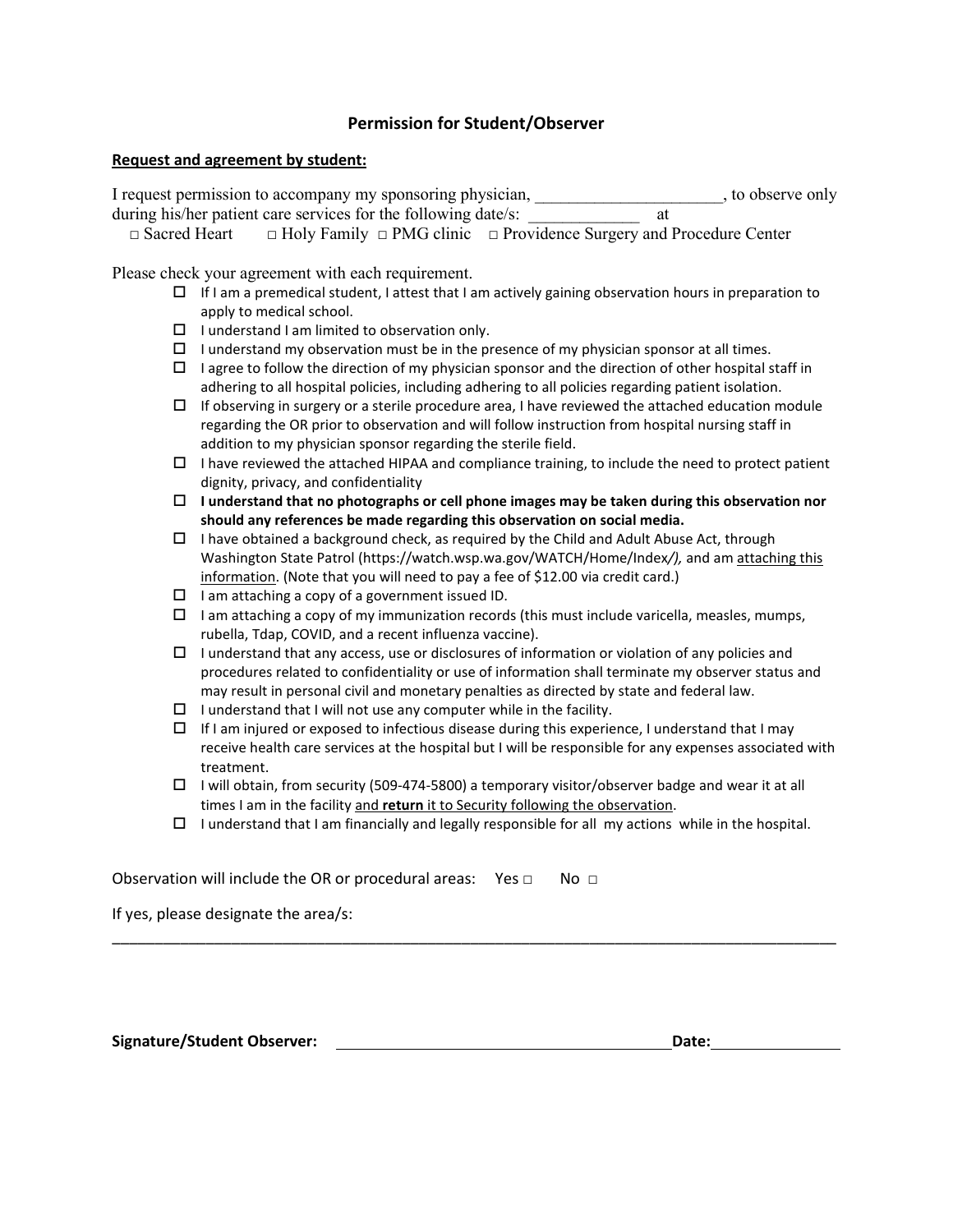#### **Permission for Student/Observer**

#### **Request and agreement by student:**

I request permission to accompany my sponsoring physician, \_\_\_\_\_\_\_\_\_\_\_\_\_\_\_\_\_\_\_\_\_, to observe only during his/her patient care services for the following date/s: \_\_\_\_\_\_\_\_\_\_\_\_\_\_\_\_ at

□ Sacred Heart □ Holy Family □ PMG clinic □ Providence Surgery and Procedure Center

Please check your agreement with each requirement.

- $\Box$  If I am a premedical student, I attest that I am actively gaining observation hours in preparation to apply to medical school.
- $\Box$  I understand I am limited to observation only.
- $\Box$  I understand my observation must be in the presence of my physician sponsor at all times.
- $\Box$  I agree to follow the direction of my physician sponsor and the direction of other hospital staff in adhering to all hospital policies, including adhering to all policies regarding patient isolation.
- $\Box$  If observing in surgery or a sterile procedure area, I have reviewed the attached education module regarding the OR prior to observation and will follow instruction from hospital nursing staff in addition to my physician sponsor regarding the sterile field.
- $\Box$  I have reviewed the attached HIPAA and compliance training, to include the need to protect patient dignity, privacy, and confidentiality
- **I understand that no photographs or cell phone images may be taken during this observation nor should any references be made regarding this observation on social media.**
- $\Box$  I have obtained a background check, as required by the Child and Adult Abuse Act, through Washington State Patrol (https://watch.wsp.wa.gov/WATCH/Home/Index*/),* and am attaching this information. (Note that you will need to pay a fee of \$12.00 via credit card.)
- $\Box$  I am attaching a copy of a government issued ID.
- $\Box$  I am attaching a copy of my immunization records (this must include varicella, measles, mumps, rubella, Tdap, COVID, and a recent influenza vaccine).
- $\Box$  I understand that any access, use or disclosures of information or violation of any policies and procedures related to confidentiality or use of information shall terminate my observer status and may result in personal civil and monetary penalties as directed by state and federal law.
- $\Box$  I understand that I will not use any computer while in the facility.
- $\Box$  If I am injured or exposed to infectious disease during this experience, I understand that I may receive health care services at the hospital but I will be responsible for any expenses associated with treatment.
- $\Box$  I will obtain, from security (509-474-5800) a temporary visitor/observer badge and wear it at all times I am in the facility and **return** it to Security following the observation.
- $\Box$  I understand that I am financially and legally responsible for all my actions while in the hospital.

\_\_\_\_\_\_\_\_\_\_\_\_\_\_\_\_\_\_\_\_\_\_\_\_\_\_\_\_\_\_\_\_\_\_\_\_\_\_\_\_\_\_\_\_\_\_\_\_\_\_\_\_\_\_\_\_\_\_\_\_\_\_\_\_\_\_\_\_\_\_\_\_\_\_\_\_\_\_\_\_\_\_\_\_\_

Observation will include the OR or procedural areas: Yes  $\Box$  No  $\Box$ 

If yes, please designate the area/s:

**Signature/Student Observer: Date:**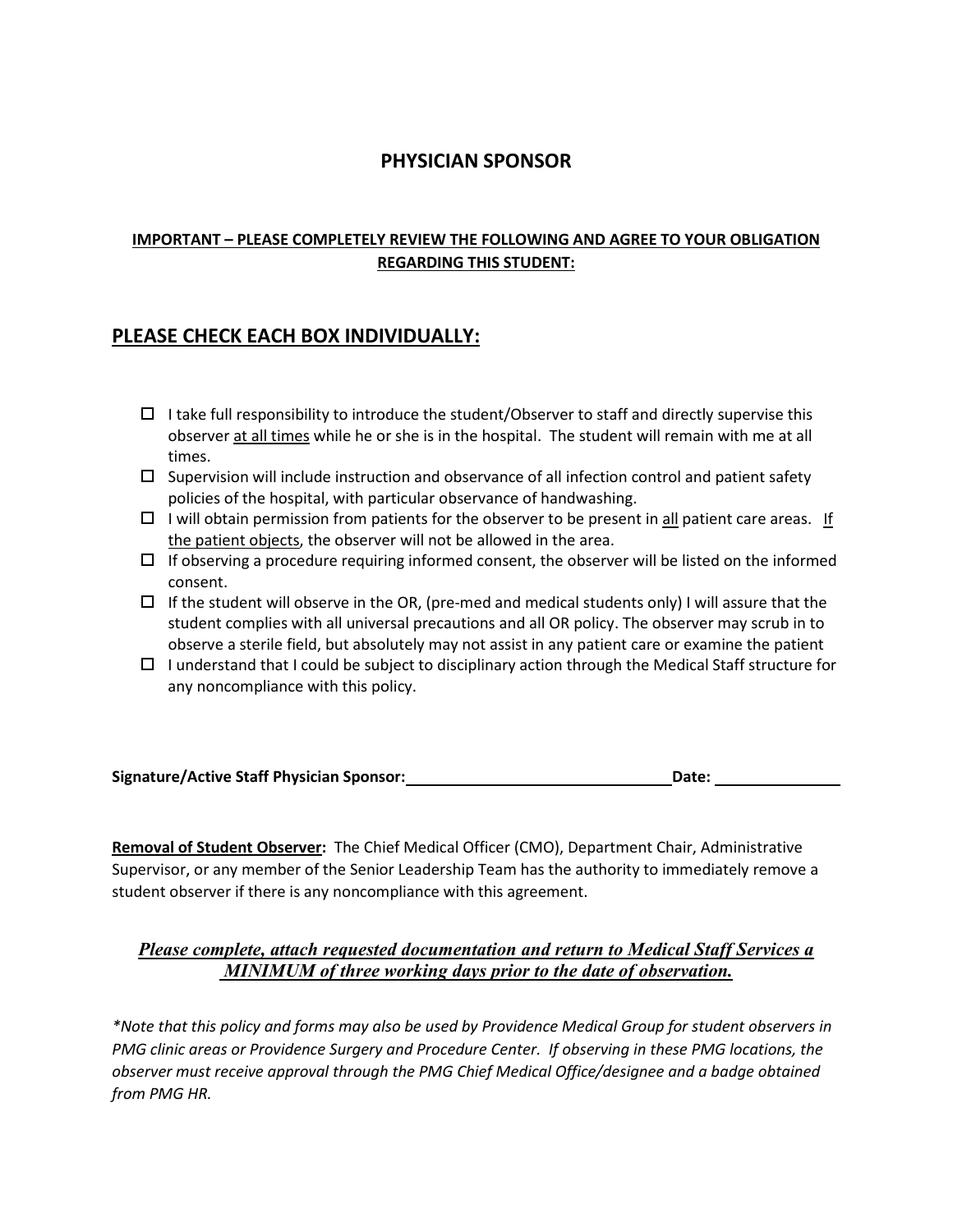# **PHYSICIAN SPONSOR**

## **IMPORTANT – PLEASE COMPLETELY REVIEW THE FOLLOWING AND AGREE TO YOUR OBLIGATION REGARDING THIS STUDENT:**

# **PLEASE CHECK EACH BOX INDIVIDUALLY:**

- $\Box$  I take full responsibility to introduce the student/Observer to staff and directly supervise this observer at all times while he or she is in the hospital. The student will remain with me at all times.
- $\Box$  Supervision will include instruction and observance of all infection control and patient safety policies of the hospital, with particular observance of handwashing.
- $\Box$  I will obtain permission from patients for the observer to be present in all patient care areas. If the patient objects, the observer will not be allowed in the area.
- $\Box$  If observing a procedure requiring informed consent, the observer will be listed on the informed consent.
- $\Box$  If the student will observe in the OR, (pre-med and medical students only) I will assure that the student complies with all universal precautions and all OR policy. The observer may scrub in to observe a sterile field, but absolutely may not assist in any patient care or examine the patient
- $\Box$  I understand that I could be subject to disciplinary action through the Medical Staff structure for any noncompliance with this policy.

| <b>Signature/Active Staff Physician Sponsor:</b> | Date: |
|--------------------------------------------------|-------|
|                                                  |       |

**Removal of Student Observer:** The Chief Medical Officer (CMO), Department Chair, Administrative Supervisor, or any member of the Senior Leadership Team has the authority to immediately remove a student observer if there is any noncompliance with this agreement.

## *Please complete, attach requested documentation and return to Medical Staff Services a MINIMUM of three working days prior to the date of observation.*

*\*Note that this policy and forms may also be used by Providence Medical Group for student observers in PMG clinic areas or Providence Surgery and Procedure Center. If observing in these PMG locations, the observer must receive approval through the PMG Chief Medical Office/designee and a badge obtained from PMG HR.*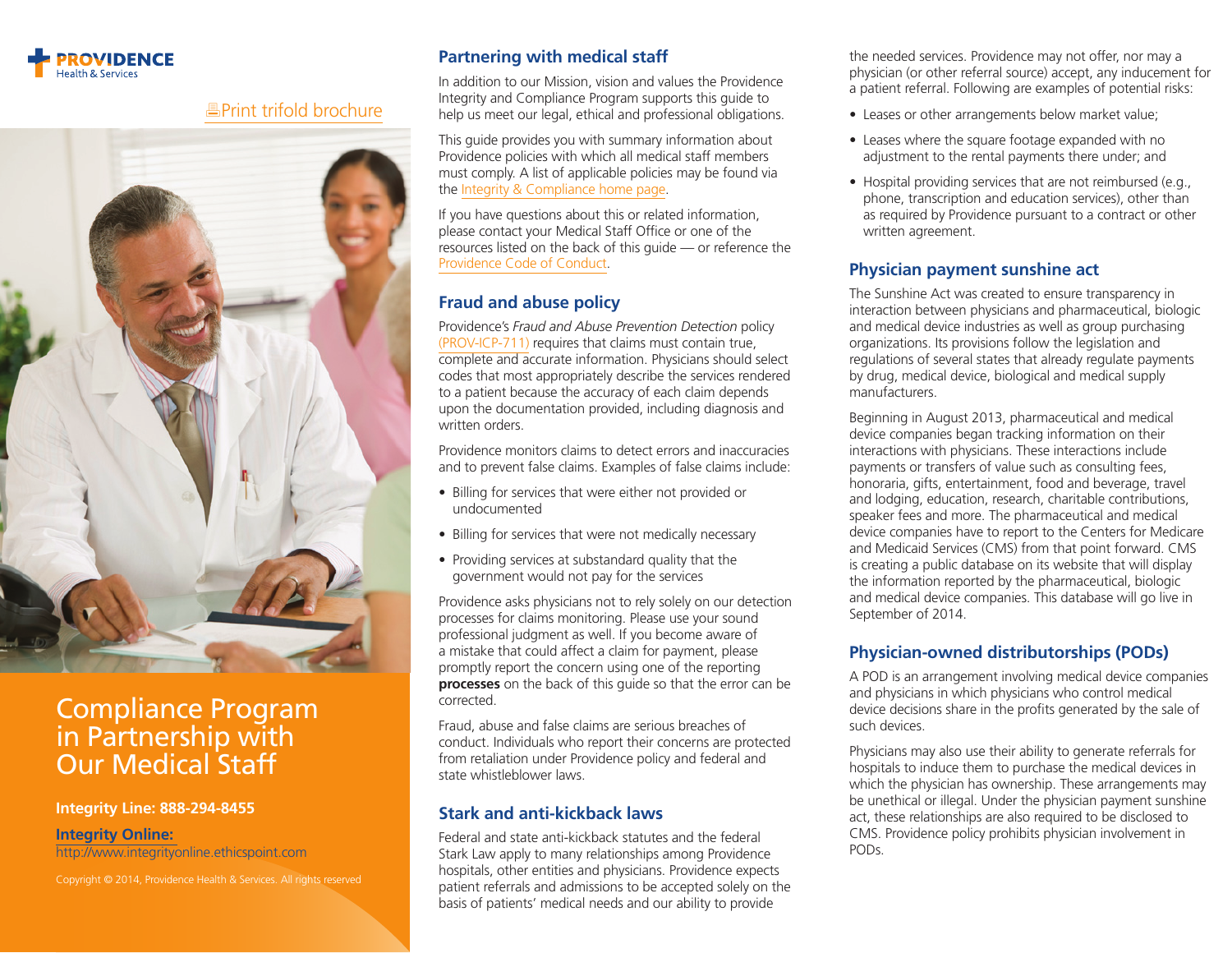

## [Print trifold brochure](https://www2.providence.org/phs/integrity/comped/Documents/2014PHSComplianceProgramBrochure_print.pdf)



# Compliance Program in Partnership with Our Medical Staff

#### **Integrity Line: 888-294-8455**

**[Integrity Online:](https://www.compliance-helpline.com/ProvidenceIntegrityLine.jsp)** 

http://www.integrityonline.ethicspoint.com

Copyright © 2014, Providence Health & Services. All rights reserved

## **Partnering with medical staff**

In addition to our Mission, vision and values the Providence Integrity and Compliance Program supports this guide to help us meet our legal, ethical and professional obligations.

This guide provides you with summary information about Providence policies with which all medical staff members must comply. A list of applicable policies may be found via the [Integrity & Compliance home page.](http://www2.providence.org/phs/integrity/Pages/default.aspx)

If you have questions about this or related information, please contact your Medical Staff Office or one of the resources listed on the back of this guide — or reference the [Providence Code of Conduct](http://www2.providence.org/phs/integrity/Pages/CodeofConduct.aspx).

## **Fraud and abuse policy**

Providence's *Fraud and Abuse Prevention Detection* policy [\(PROV-ICP-711\)](http://www2.providence.org/phs/integrity/Integrity%20Documents/PROV-ICP-711.pdf) requires that claims must contain true, complete and accurate information. Physicians should select codes that most appropriately describe the services rendered to a patient because the accuracy of each claim depends upon the documentation provided, including diagnosis and written orders.

Providence monitors claims to detect errors and inaccuracies and to prevent false claims. Examples of false claims include:

- Billing for services that were either not provided or undocumented
- Billing for services that were not medically necessary
- Providing services at substandard quality that the government would not pay for the services

Providence asks physicians not to rely solely on our detection processes for claims monitoring. Please use your sound professional judgment as well. If you become aware of a mistake that could affect a claim for payment, please promptly report the concern using one of the reporting **processes** on the back of this guide so that the error can be corrected.

Fraud, abuse and false claims are serious breaches of conduct. Individuals who report their concerns are protected from retaliation under Providence policy and federal and state whistleblower laws.

#### **Stark and anti-kickback laws**

Federal and state anti-kickback statutes and the federal Stark Law apply to many relationships among Providence hospitals, other entities and physicians. Providence expects patient referrals and admissions to be accepted solely on the basis of patients' medical needs and our ability to provide

the needed services. Providence may not offer, nor may a physician (or other referral source) accept, any inducement for a patient referral. Following are examples of potential risks:

- Leases or other arrangements below market value;
- Leases where the square footage expanded with no adjustment to the rental payments there under; and
- Hospital providing services that are not reimbursed (e.g., phone, transcription and education services), other than as required by Providence pursuant to a contract or other written agreement.

## **Physician payment sunshine act**

The Sunshine Act was created to ensure transparency in interaction between physicians and pharmaceutical, biologic and medical device industries as well as group purchasing organizations. Its provisions follow the legislation and regulations of several states that already regulate payments by drug, medical device, biological and medical supply manufacturers.

Beginning in August 2013, pharmaceutical and medical device companies began tracking information on their interactions with physicians. These interactions include payments or transfers of value such as consulting fees, honoraria, gifts, entertainment, food and beverage, travel and lodging, education, research, charitable contributions, speaker fees and more. The pharmaceutical and medical device companies have to report to the Centers for Medicare and Medicaid Services (CMS) from that point forward. CMS is creating a public database on its website that will display the information reported by the pharmaceutical, biologic and medical device companies. This database will go live in September of 2014.

## **Physician-owned distributorships (PODs)**

A POD is an arrangement involving medical device companies and physicians in which physicians who control medical device decisions share in the profits generated by the sale of such devices.

Physicians may also use their ability to generate referrals for hospitals to induce them to purchase the medical devices in which the physician has ownership. These arrangements may be unethical or illegal. Under the physician payment sunshine act, these relationships are also required to be disclosed to CMS. Providence policy prohibits physician involvement in PODs.